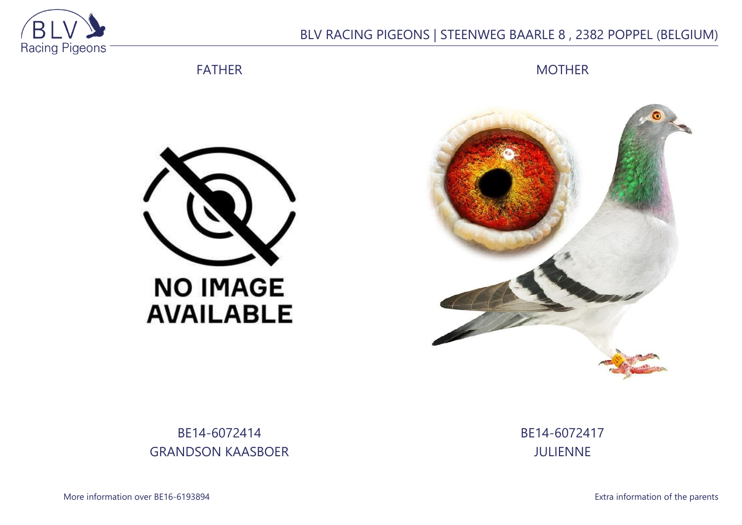

## BLV RACING PIGEONS | STEENWEG BAARLE 8 , 2382 POPPEL (BELGIUM)

FATHER

**MOTHER** 





BE14-6072414 GRANDSON KAASBOER BE14-6072417 JULIENNE

More information over BE16-6193894 **Extra information of the parents**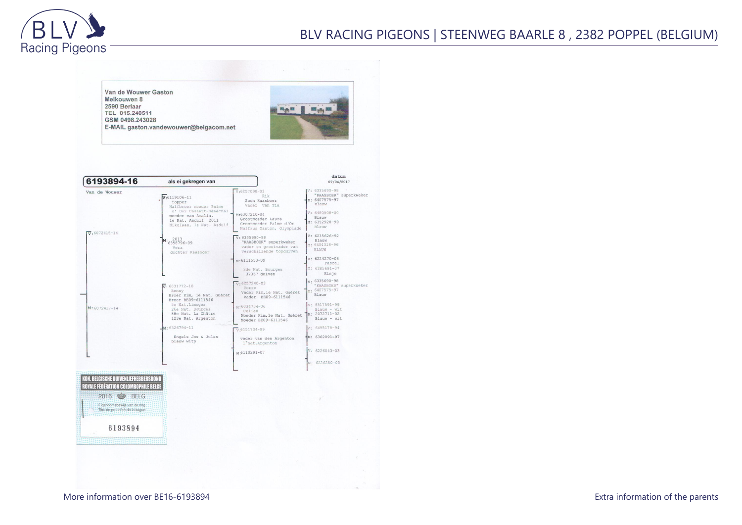

Van de Wouwer Gaston Melkouwen 8 2590 Berlaar HAR BRA TEL 015.240511 GSM 0498.243028 E-MAIL gaston.vandewouwer@belgacom.net datum 6193894-16 als ei gekregen van 07/04/2017  $0: 6335690 - 98$  $\sqrt{v}$ :6257098-03 Van de Wouwer "KAASBOER" superkweker  $Rik$  $V:6119106 - 11$ M: 6407575-97 Zoon Kaasboer Topper<br>Halfbroer moeder Palme Blauw Vader van Tia d' Dor Casaert-Sénéchal  $: 6480508 - 00$ M:6307210-04 moeder van Amalia,<br>le Nat. Asduif 2011 Blauw Grootmoeder Laura M: 6352928-99 Grootmoeder Palme d'Or Nikolaas, 1e Nat. Asduif Blauw Halfzus Gaston, Olympiade  $\sqrt{v}$ : 6072415-14  $v: 6235626 - 92$  $\sqrt{v}$ : 6335690-98 M: 2013 Blauw<br>
: 6404318-96 "KAASBOER" superkweker vader en grootvader van<br>verschillende topduiven Vera<br>dochter Kaasboer BLAUW V: 6224270-08 M:6111553-09 Pascal  $: 6385691 - 07$ 3de Nat. Bourges 37357 duiven Elsje : 6335690-98<br>"KAASBOER" superkweker  $\sqrt{v}$ : 6257240-03  $\overline{V}$ : 6031772-10 Torre 6407575-97 Benny Vader Kim, le Nat. Guéret Broer Kim, le Nat. Guéret Rlauw Vader BE09-6111546 Broer BE09-6111546 Se Nat.Limoges<br>26e Nat. Bourges<br>88e Nat. La Châtre 6517591-99 M:6034734-06 M: 6072417-14 Blauw - wit<br>2072711-02 Celien Moeder Kim, le Nat. Guéret 123e Nat. Argenton Blauw - wit Moeder BE09-6111546  $6326794 - 11$ 6495178-94  $\sqrt{v}$ -6151734-99 Engels Jos & Jules : 6362091-97 vader van den Argenton blauw witp 1° nat. Argenton  $6226043-03$ M:6110291-07 6226250-03 **KON. BELGISCHE DUIVENLIEFHEBBERSBOND ROYALE FÉDÉRATION COLOMBOPHILE BELGI** 2016 SELG Eigendomsbewijs van de ring Titre de propriété de la baque 6193894